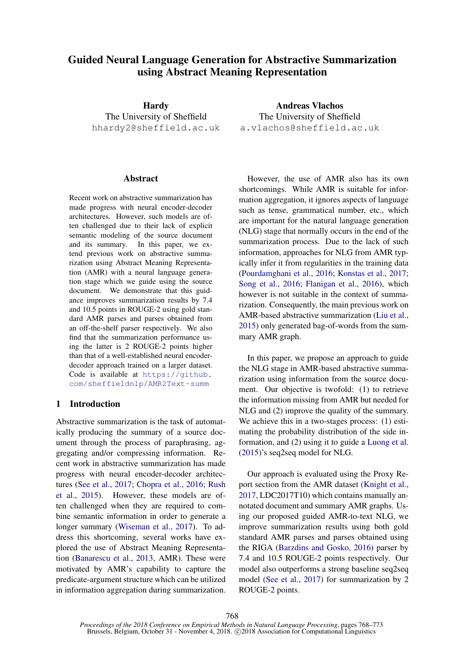# Guided Neural Language Generation for Abstractive Summarization using Abstract Meaning Representation

Hardy The University of Sheffield hhardy2@sheffield.ac.uk

#### **Abstract**

Recent work on abstractive summarization has made progress with neural encoder-decoder architectures. However, such models are often challenged due to their lack of explicit semantic modeling of the source document and its summary. In this paper, we extend previous work on abstractive summarization using Abstract Meaning Representation (AMR) with a neural language generation stage which we guide using the source document. We demonstrate that this guidance improves summarization results by 7.4 and 10.5 points in ROUGE-2 using gold standard AMR parses and parses obtained from an off-the-shelf parser respectively. We also find that the summarization performance using the latter is 2 ROUGE-2 points higher than that of a well-established neural encoderdecoder approach trained on a larger dataset. Code is available at [https://github.](https://github.com/sheffieldnlp/AMR2Text-summ) [com/sheffieldnlp/AMR2Text-summ](https://github.com/sheffieldnlp/AMR2Text-summ)

### 1 Introduction

Abstractive summarization is the task of automatically producing the summary of a source document through the process of paraphrasing, aggregating and/or compressing information. Recent work in abstractive summarization has made progress with neural encoder-decoder architectures [\(See et al.,](#page-5-0) [2017;](#page-5-0) [Chopra et al.,](#page-4-0) [2016;](#page-4-0) [Rush](#page-5-1) [et al.,](#page-5-1) [2015\)](#page-5-1). However, these models are often challenged when they are required to combine semantic information in order to generate a longer summary [\(Wiseman et al.,](#page-5-2) [2017\)](#page-5-2). To address this shortcoming, several works have explored the use of Abstract Meaning Representation [\(Banarescu et al.,](#page-4-1) [2013,](#page-4-1) AMR). These were motivated by AMR's capability to capture the predicate-argument structure which can be utilized in information aggregation during summarization.

Andreas Vlachos The University of Sheffield a.vlachos@sheffield.ac.uk

However, the use of AMR also has its own shortcomings. While AMR is suitable for information aggregation, it ignores aspects of language such as tense, grammatical number, etc., which are important for the natural language generation (NLG) stage that normally occurs in the end of the summarization process. Due to the lack of such information, approaches for NLG from AMR typically infer it from regularities in the training data [\(Pourdamghani et al.,](#page-5-3) [2016;](#page-5-3) [Konstas et al.,](#page-4-2) [2017;](#page-4-2) [Song et al.,](#page-5-4) [2016;](#page-5-4) [Flanigan et al.,](#page-4-3) [2016\)](#page-4-3), which however is not suitable in the context of summarization. Consequently, the main previous work on AMR-based abstractive summarization [\(Liu et al.,](#page-4-4) [2015\)](#page-4-4) only generated bag-of-words from the summary AMR graph.

In this paper, we propose an approach to guide the NLG stage in AMR-based abstractive summarization using information from the source document. Our objective is twofold: (1) to retrieve the information missing from AMR but needed for NLG and (2) improve the quality of the summary. We achieve this in a two-stages process: (1) estimating the probability distribution of the side information, and (2) using it to guide a [Luong et al.](#page-4-5) [\(2015\)](#page-4-5)'s seq2seq model for NLG.

Our approach is evaluated using the Proxy Report section from the AMR dataset [\(Knight et al.,](#page-4-6) [2017,](#page-4-6) LDC2017T10) which contains manually annotated document and summary AMR graphs. Using our proposed guided AMR-to-text NLG, we improve summarization results using both gold standard AMR parses and parses obtained using the RIGA [\(Barzdins and Gosko,](#page-4-7) [2016\)](#page-4-7) parser by 7.4 and 10.5 ROUGE-2 points respectively. Our model also outperforms a strong baseline seq2seq model [\(See et al.,](#page-5-0) [2017\)](#page-5-0) for summarization by 2 ROUGE-2 points.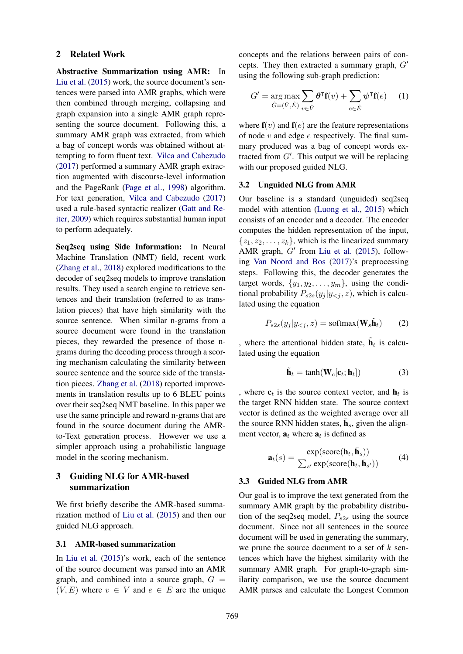#### 2 Related Work

Abstractive Summarization using AMR: In [Liu et al.](#page-4-4) [\(2015\)](#page-4-4) work, the source document's sentences were parsed into AMR graphs, which were then combined through merging, collapsing and graph expansion into a single AMR graph representing the source document. Following this, a summary AMR graph was extracted, from which a bag of concept words was obtained without attempting to form fluent text. [Vilca and Cabezudo](#page-5-5) [\(2017\)](#page-5-5) performed a summary AMR graph extraction augmented with discourse-level information and the PageRank [\(Page et al.,](#page-5-6) [1998\)](#page-5-6) algorithm. For text generation, [Vilca and Cabezudo](#page-5-5) [\(2017\)](#page-5-5) used a rule-based syntactic realizer [\(Gatt and Re](#page-4-8)[iter,](#page-4-8) [2009\)](#page-4-8) which requires substantial human input to perform adequately.

Seq2seq using Side Information: In Neural Machine Translation (NMT) field, recent work [\(Zhang et al.,](#page-5-7) [2018\)](#page-5-7) explored modifications to the decoder of seq2seq models to improve translation results. They used a search engine to retrieve sentences and their translation (referred to as translation pieces) that have high similarity with the source sentence. When similar n-grams from a source document were found in the translation pieces, they rewarded the presence of those ngrams during the decoding process through a scoring mechanism calculating the similarity between source sentence and the source side of the translation pieces. [Zhang et al.](#page-5-7) [\(2018\)](#page-5-7) reported improvements in translation results up to 6 BLEU points over their seq2seq NMT baseline. In this paper we use the same principle and reward n-grams that are found in the source document during the AMRto-Text generation process. However we use a simpler approach using a probabilistic language model in the scoring mechanism.

# 3 Guiding NLG for AMR-based summarization

We first briefly describe the AMR-based summarization method of [Liu et al.](#page-4-4) [\(2015\)](#page-4-4) and then our guided NLG approach.

### 3.1 AMR-based summarization

In [Liu et al.](#page-4-4) [\(2015\)](#page-4-4)'s work, each of the sentence of the source document was parsed into an AMR graph, and combined into a source graph,  $G =$  $(V, E)$  where  $v \in V$  and  $e \in E$  are the unique concepts and the relations between pairs of concepts. They then extracted a summary graph,  $G'$ using the following sub-graph prediction:

$$
G' = \underset{\hat{G} = (\hat{V}, \hat{E})}{\arg \max} \sum_{v \in \hat{V}} \theta^{\mathsf{T}} \mathbf{f}(v) + \sum_{e \in \hat{E}} \psi^{\mathsf{T}} \mathbf{f}(e) \tag{1}
$$

where  $f(v)$  and  $f(e)$  are the feature representations of node  $v$  and edge  $e$  respectively. The final summary produced was a bag of concept words extracted from  $G'$ . This output we will be replacing with our proposed guided NLG.

#### 3.2 Unguided NLG from AMR

Our baseline is a standard (unguided) seq2seq model with attention [\(Luong et al.,](#page-4-5) [2015\)](#page-4-5) which consists of an encoder and a decoder. The encoder computes the hidden representation of the input,  $\{z_1, z_2, \ldots, z_k\}$ , which is the linearized summary AMR graph,  $G'$  from [Liu et al.](#page-4-4) [\(2015\)](#page-4-4), following [Van Noord and Bos](#page-5-8) [\(2017\)](#page-5-8)'s preprocessing steps. Following this, the decoder generates the target words,  $\{y_1, y_2, \ldots, y_m\}$ , using the conditional probability  $P_{s2s}(y_i | y_{\le i}, z)$ , which is calculated using the equation

$$
P_{s2s}(y_j|y_{ (2)
$$

, where the attentional hidden state,  $\tilde{\mathbf{h}}_t$  is calculated using the equation

$$
\tilde{\mathbf{h}}_t = \tanh(\mathbf{W}_c[\mathbf{c}_t; \mathbf{h}_t])
$$
\n(3)

, where  $c_t$  is the source context vector, and  $h_t$  is the target RNN hidden state. The source context vector is defined as the weighted average over all the source RNN hidden states,  $\bar{\mathbf{h}}_s$ , given the alignment vector,  $a_t$  where  $a_t$  is defined as

$$
\mathbf{a}_t(s) = \frac{\exp(\text{score}(\mathbf{h}_t, \bar{\mathbf{h}}_s))}{\sum_{s'} \exp(\text{score}(\mathbf{h}_t, \bar{\mathbf{h}}_{s'}))}
$$
(4)

### 3.3 Guided NLG from AMR

Our goal is to improve the text generated from the summary AMR graph by the probability distribution of the seq2seq model,  $P_{s2s}$  using the source document. Since not all sentences in the source document will be used in generating the summary, we prune the source document to a set of  $k$  sentences which have the highest similarity with the summary AMR graph. For graph-to-graph similarity comparison, we use the source document AMR parses and calculate the Longest Common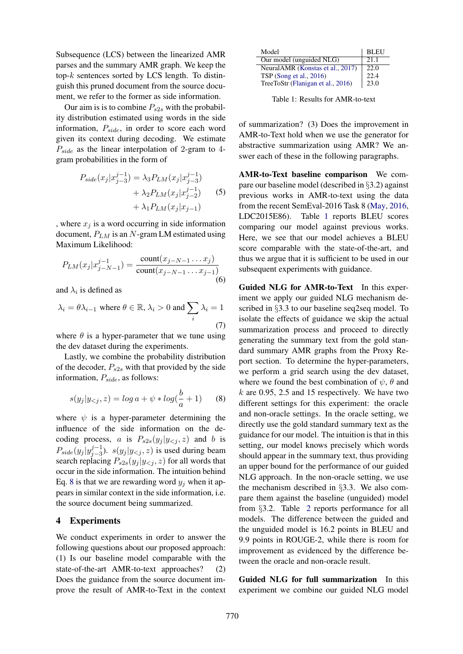Subsequence (LCS) between the linearized AMR parses and the summary AMR graph. We keep the top-k sentences sorted by LCS length. To distinguish this pruned document from the source document, we refer to the former as side information.

Our aim is is to combine  $P_{s2s}$  with the probability distribution estimated using words in the side information,  $P_{side}$ , in order to score each word given its context during decoding. We estimate  $P_{side}$  as the linear interpolation of 2-gram to 4gram probabilities in the form of

$$
P_{side}(x_j|x_{j-3}^{j-1}) = \lambda_3 P_{LM}(x_j|x_{j-3}^{j-1})
$$
  
+  $\lambda_2 P_{LM}(x_j|x_{j-2}^{j-1})$  (5)  
+  $\lambda_1 P_{LM}(x_j|x_{j-1})$ 

, where  $x_j$  is a word occurring in side information document,  $P_{LM}$  is an N-gram LM estimated using Maximum Likelihood:

$$
P_{LM}(x_j|x_{j-N-1}^{j-1}) = \frac{\text{count}(x_{j-N-1}\dots x_j)}{\text{count}(x_{j-N-1}\dots x_{j-1})}
$$
(6)

and  $\lambda_i$  is defined as

$$
\lambda_i = \theta \lambda_{i-1} \text{ where } \theta \in \mathbb{R}, \lambda_i > 0 \text{ and } \sum_i \lambda_i = 1
$$
\n(7)

where  $\theta$  is a hyper-parameter that we tune using the dev dataset during the experiments.

Lastly, we combine the probability distribution of the decoder,  $P_{s2s}$  with that provided by the side information,  $P_{side}$ , as follows:

<span id="page-2-0"></span>
$$
s(y_j|y_{<} z) = \log a + \psi * \log(\frac{b}{a} + 1) \tag{8}
$$

where  $\psi$  is a hyper-parameter determining the influence of the side information on the decoding process, a is  $P_{s2s}(y_i | y_{\le i}, z)$  and b is  $P_{side}(y_j | y_{j-3}^{j-1})$  $j_{j-3}^{(j-1)}$ ).  $s(y_j|y_{ is used during beam$ search replacing  $P_{s2s}(y_i | y_{\le i}, z)$  for all words that occur in the side information. The intuition behind Eq. [8](#page-2-0) is that we are rewarding word  $y_i$  when it appears in similar context in the side information, i.e. the source document being summarized.

## 4 Experiments

We conduct experiments in order to answer the following questions about our proposed approach: (1) Is our baseline model comparable with the state-of-the-art AMR-to-text approaches? (2) Does the guidance from the source document improve the result of AMR-to-Text in the context

| Model                             | <b>BLEU</b> |
|-----------------------------------|-------------|
| Our model (unguided NLG)          | 21.1        |
| NeuralAMR (Konstas et al., 2017)  | 22.0        |
| TSP (Song et al., 2016)           | 22.4        |
| TreeToStr (Flanigan et al., 2016) | 23.0        |

<span id="page-2-1"></span>Table 1: Results for AMR-to-text

of summarization? (3) Does the improvement in AMR-to-Text hold when we use the generator for abstractive summarization using AMR? We answer each of these in the following paragraphs.

AMR-to-Text baseline comparison We compare our baseline model (described in §3.2) against previous works in AMR-to-text using the data from the recent SemEval-2016 Task 8 [\(May,](#page-4-9) [2016,](#page-4-9) LDC2015E86). Table [1](#page-2-1) reports BLEU scores comparing our model against previous works. Here, we see that our model achieves a BLEU score comparable with the state-of-the-art, and thus we argue that it is sufficient to be used in our subsequent experiments with guidance.

Guided NLG for AMR-to-Text In this experiment we apply our guided NLG mechanism described in §3.3 to our baseline seq2seq model. To isolate the effects of guidance we skip the actual summarization process and proceed to directly generating the summary text from the gold standard summary AMR graphs from the Proxy Report section. To determine the hyper-parameters, we perform a grid search using the dev dataset, where we found the best combination of  $\psi$ ,  $\theta$  and  $k$  are 0.95, 2.5 and 15 respectively. We have two different settings for this experiment: the oracle and non-oracle settings. In the oracle setting, we directly use the gold standard summary text as the guidance for our model. The intuition is that in this setting, our model knows precisely which words should appear in the summary text, thus providing an upper bound for the performance of our guided NLG approach. In the non-oracle setting, we use the mechanism described in §3.3. We also compare them against the baseline (unguided) model from §3.2. Table [2](#page-3-0) reports performance for all models. The difference between the guided and the unguided model is 16.2 points in BLEU and 9.9 points in ROUGE-2, while there is room for improvement as evidenced by the difference between the oracle and non-oracle result.

Guided NLG for full summarization In this experiment we combine our guided NLG model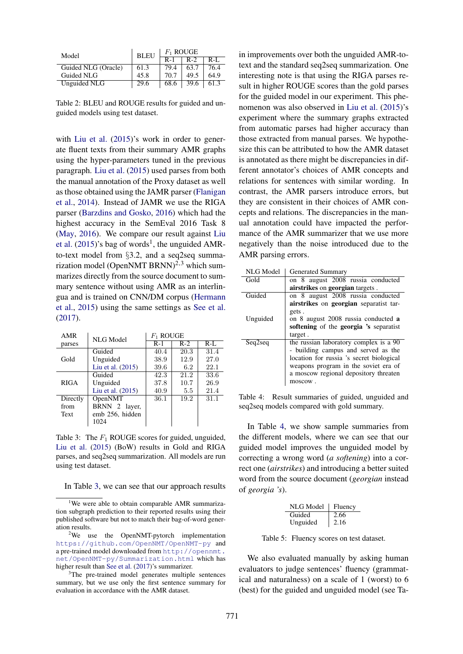| Model               | <b>BLEU</b> | $F_1$ ROUGE |      |         |  |
|---------------------|-------------|-------------|------|---------|--|
|                     |             | $R-1$       | R-2  | $R-I$ . |  |
| Guided NLG (Oracle) | 61.3        | 79.4        | 63.7 | 76.4    |  |
| Guided NLG          | 45.8        | 70.7        | 49.5 | 64.9    |  |
| Unguided NLG        | 29.6        | 68.6        | 39.6 | 61.3    |  |

<span id="page-3-0"></span>Table 2: BLEU and ROUGE results for guided and unguided models using test dataset.

with [Liu et al.](#page-4-4) [\(2015\)](#page-4-4)'s work in order to generate fluent texts from their summary AMR graphs using the hyper-parameters tuned in the previous paragraph. [Liu et al.](#page-4-4) [\(2015\)](#page-4-4) used parses from both the manual annotation of the Proxy dataset as well as those obtained using the JAMR parser [\(Flanigan](#page-4-10) [et al.,](#page-4-10) [2014\)](#page-4-10). Instead of JAMR we use the RIGA parser [\(Barzdins and Gosko,](#page-4-7) [2016\)](#page-4-7) which had the highest accuracy in the SemEval 2016 Task 8 [\(May,](#page-4-9) [2016\)](#page-4-9). We compare our result against [Liu](#page-4-4) [et al.](#page-4-4)  $(2015)$ 's bag of words<sup>1</sup>, the unguided AMRto-text model from §3.2, and a seq2seq summarization model (OpenNMT BRNN)<sup>2,3</sup> which summarizes directly from the source document to summary sentence without using AMR as an interlingua and is trained on CNN/DM corpus [\(Hermann](#page-4-11) [et al.,](#page-4-11) [2015\)](#page-4-11) using the same settings as [See et al.](#page-5-0) [\(2017\)](#page-5-0).

| AMR         | NLG Model         | $F_1$ ROUGE |       |         |  |  |
|-------------|-------------------|-------------|-------|---------|--|--|
| parses      |                   | $R-1$       | $R-2$ | $R-I$ . |  |  |
|             | Guided            | 40.4        | 20.3  | 31.4    |  |  |
| Gold        | Unguided          | 38.9        | 12.9  | 27.0    |  |  |
|             | Liu et al. (2015) | 39.6        | 6.2   | 22.1    |  |  |
|             | Guided            | 42.3        | 21.2  | 33.6    |  |  |
| <b>RIGA</b> | Unguided          | 37.8        | 10.7  | 26.9    |  |  |
|             | Liu et al. (2015) | 40.9        | 5.5   | 21.4    |  |  |
| Directly    | OpenNMT           | 36.1        | 19.2  | 31.1    |  |  |
| from        | BRNN 2 layer,     |             |       |         |  |  |
| Text        | emb 256, hidden   |             |       |         |  |  |
|             | 1024              |             |       |         |  |  |

Table 3: The  $F_1$  ROUGE scores for guided, unguided, [Liu et al.](#page-4-4) [\(2015\)](#page-4-4) (BoW) results in Gold and RIGA parses, and seq2seq summarization. All models are run using test dataset.

|  | In Table 3, we can see that our approach results |  |  |  |  |  |  |  |  |  |  |  |
|--|--------------------------------------------------|--|--|--|--|--|--|--|--|--|--|--|
|--|--------------------------------------------------|--|--|--|--|--|--|--|--|--|--|--|

<sup>&</sup>lt;sup>1</sup>We were able to obtain comparable AMR summarization subgraph prediction to their reported results using their published software but not to match their bag-of-word generation results.

in improvements over both the unguided AMR-totext and the standard seq2seq summarization. One interesting note is that using the RIGA parses result in higher ROUGE scores than the gold parses for the guided model in our experiment. This phenomenon was also observed in [Liu et al.](#page-4-4) [\(2015\)](#page-4-4)'s experiment where the summary graphs extracted from automatic parses had higher accuracy than those extracted from manual parses. We hypothesize this can be attributed to how the AMR dataset is annotated as there might be discrepancies in different annotator's choices of AMR concepts and relations for sentences with similar wording. In contrast, the AMR parsers introduce errors, but they are consistent in their choices of AMR concepts and relations. The discrepancies in the manual annotation could have impacted the performance of the AMR summarizer that we use more negatively than the noise introduced due to the AMR parsing errors.

<span id="page-3-2"></span>

| <b>NLG</b> Model | Generated Summary |  |
|------------------|-------------------|--|
|                  |                   |  |

| Gold     | on 8 august 2008 russia conducted        |
|----------|------------------------------------------|
|          | airstrikes on georgian targets.          |
| Guided   | on 8 august 2008 russia conducted        |
|          | airstrikes on georgian separatist tar-   |
|          | gets.                                    |
| Unguided | on 8 august 2008 russia conducted a      |
|          | softening of the georgia 's separatist   |
|          | target.                                  |
| Seq2seq  | the russian laboratory complex is a 90   |
|          | - building campus and served as the      |
|          | location for russia 's secret biological |
|          | weapons program in the soviet era of     |
|          |                                          |
|          | a moscow regional depository threaten    |
|          | moscow.                                  |

<span id="page-3-1"></span>Table 4: Result summaries of guided, unguided and seq2seq models compared with gold summary.

In Table [4,](#page-3-2) we show sample summaries from the different models, where we can see that our guided model improves the unguided model by correcting a wrong word (*a softening*) into a correct one (*airstrikes*) and introducing a better suited word from the source document (*georgian* instead of *georgia 's*).

<span id="page-3-3"></span>

| <b>NLG</b> Model | Fluency |
|------------------|---------|
| Guided           | 2.66    |
| Unguided         | 2.16    |

Table 5: Fluency scores on test dataset.

We also evaluated manually by asking human evaluators to judge sentences' fluency (grammatical and naturalness) on a scale of 1 (worst) to 6 (best) for the guided and unguided model (see Ta-

<sup>&</sup>lt;sup>2</sup>We use the OpenNMT-pytorch implementation <https://github.com/OpenNMT/OpenNMT-py> and a pre-trained model downloaded from [http://opennmt.](http://opennmt.net/OpenNMT-py/Summarization.html) [net/OpenNMT-py/Summarization.html](http://opennmt.net/OpenNMT-py/Summarization.html) which has higher result than [See et al.](#page-5-0) [\(2017\)](#page-5-0)'s summarizer.

<sup>&</sup>lt;sup>3</sup>The pre-trained model generates multiple sentences summary, but we use only the first sentence summary for evaluation in accordance with the AMR dataset.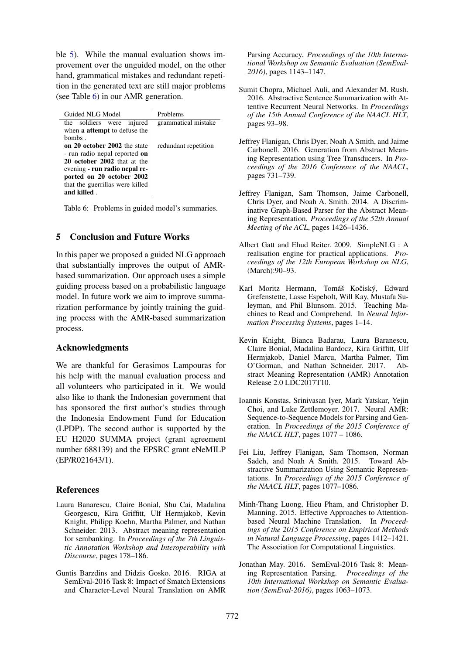ble [5\)](#page-3-3). While the manual evaluation shows improvement over the unguided model, on the other hand, grammatical mistakes and redundant repetition in the generated text are still major problems (see Table [6\)](#page-4-12) in our AMR generation.

Guided NLG Model | Problems the soldiers were injured when a attempt to defuse the bombs . grammatical mistake on 20 october 2002 the state - run radio nepal reported on 20 october 2002 that at the evening - run radio nepal reported on 20 october 2002 that the guerrillas were killed and killed . redundant repetition

Table 6: Problems in guided model's summaries.

# 5 Conclusion and Future Works

In this paper we proposed a guided NLG approach that substantially improves the output of AMRbased summarization. Our approach uses a simple guiding process based on a probabilistic language model. In future work we aim to improve summarization performance by jointly training the guiding process with the AMR-based summarization process.

### Acknowledgments

We are thankful for Gerasimos Lampouras for his help with the manual evaluation process and all volunteers who participated in it. We would also like to thank the Indonesian government that has sponsored the first author's studies through the Indonesia Endowment Fund for Education (LPDP). The second author is supported by the EU H2020 SUMMA project (grant agreement number 688139) and the EPSRC grant eNeMILP (EP/R021643/1).

### References

- <span id="page-4-1"></span>Laura Banarescu, Claire Bonial, Shu Cai, Madalina Georgescu, Kira Griffitt, Ulf Hermjakob, Kevin Knight, Philipp Koehn, Martha Palmer, and Nathan Schneider. 2013. Abstract meaning representation for sembanking. In *Proceedings of the 7th Linguistic Annotation Workshop and Interoperability with Discourse*, pages 178–186.
- <span id="page-4-7"></span>Guntis Barzdins and Didzis Gosko. 2016. RIGA at SemEval-2016 Task 8: Impact of Smatch Extensions and Character-Level Neural Translation on AMR

Parsing Accuracy. *Proceedings of the 10th International Workshop on Semantic Evaluation (SemEval-2016)*, pages 1143–1147.

- <span id="page-4-0"></span>Sumit Chopra, Michael Auli, and Alexander M. Rush. 2016. Abstractive Sentence Summarization with Attentive Recurrent Neural Networks. In *Proceedings of the 15th Annual Conference of the NAACL HLT*, pages 93–98.
- <span id="page-4-12"></span><span id="page-4-3"></span>Jeffrey Flanigan, Chris Dyer, Noah A Smith, and Jaime Carbonell. 2016. Generation from Abstract Meaning Representation using Tree Transducers. In *Proceedings of the 2016 Conference of the NAACL*, pages 731–739.
- <span id="page-4-10"></span>Jeffrey Flanigan, Sam Thomson, Jaime Carbonell, Chris Dyer, and Noah A. Smith. 2014. A Discriminative Graph-Based Parser for the Abstract Meaning Representation. *Proceedings of the 52th Annual Meeting of the ACL*, pages 1426–1436.
- <span id="page-4-8"></span>Albert Gatt and Ehud Reiter. 2009. SimpleNLG : A realisation engine for practical applications. *Proceedings of the 12th European Workshop on NLG*, (March):90–93.
- <span id="page-4-11"></span>Karl Moritz Hermann, Tomáš Kočiský, Edward Grefenstette, Lasse Espeholt, Will Kay, Mustafa Suleyman, and Phil Blunsom. 2015. Teaching Machines to Read and Comprehend. In *Neural Information Processing Systems*, pages 1–14.
- <span id="page-4-6"></span>Kevin Knight, Bianca Badarau, Laura Baranescu, Claire Bonial, Madalina Bardocz, Kira Griffitt, Ulf Hermjakob, Daniel Marcu, Martha Palmer, Tim O'Gorman, and Nathan Schneider. 2017. Abstract Meaning Representation (AMR) Annotation Release 2.0 LDC2017T10.
- <span id="page-4-2"></span>Ioannis Konstas, Srinivasan Iyer, Mark Yatskar, Yejin Choi, and Luke Zettlemoyer. 2017. Neural AMR: Sequence-to-Sequence Models for Parsing and Generation. In *Proceedings of the 2015 Conference of the NAACL HLT*, pages 1077 – 1086.
- <span id="page-4-4"></span>Fei Liu, Jeffrey Flanigan, Sam Thomson, Norman Sadeh, and Noah A Smith. 2015. Toward Abstractive Summarization Using Semantic Representations. In *Proceedings of the 2015 Conference of the NAACL HLT*, pages 1077–1086.
- <span id="page-4-5"></span>Minh-Thang Luong, Hieu Pham, and Christopher D. Manning. 2015. Effective Approaches to Attentionbased Neural Machine Translation. In *Proceedings of the 2015 Conference on Empirical Methods in Natural Language Processing*, pages 1412–1421. The Association for Computational Linguistics.
- <span id="page-4-9"></span>Jonathan May. 2016. SemEval-2016 Task 8: Meaning Representation Parsing. *Proceedings of the 10th International Workshop on Semantic Evaluation (SemEval-2016)*, pages 1063–1073.